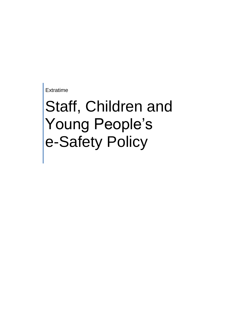Extratime

# Staff, Children and Young People's e-Safety Policy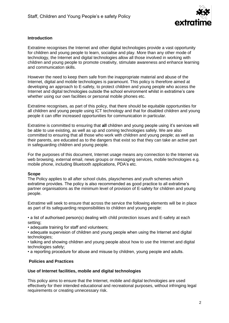

## **Introduction**

Extratime recognises the Internet and other digital technologies provide a vast opportunity for children and young people to learn, socialise and play. More than any other mode of technology, the Internet and digital technologies allow all those involved in working with children and young people to promote creativity, stimulate awareness and enhance learning and communication skills.

However the need to keep them safe from the inappropriate material and abuse of the Internet, digital and mobile technologies is paramount. This policy is therefore aimed at developing an approach to E-safety, to protect children and young people who access the Internet and digital technologies outside the school environment whilst in extratime's care whether using our own facilities or personal mobile phones etc.

Extratime recognises, as part of this policy, that there should be equitable opportunities for all children and young people using ICT technology and that for disabled children and young people it can offer increased opportunities for communication in particular.

Extratime is committed to ensuring that **all** children and young people using it's services will be able to use existing, as well as up and coming technologies safely. We are also committed to ensuring that all those who work with children and young people; as well as their parents, are educated as to the dangers that exist so that they can take an active part in safeguarding children and young people.

For the purposes of this document, Internet usage means any connection to the Internet via web browsing, external email, news groups or messaging services, mobile technologies e.g. mobile phone, including Bluetooth applications, PDA's etc.

### **Scope**

The Policy applies to all after school clubs, playschemes and youth schemes which extratime provides. The policy is also recommended as good practice to all extratime's partner organisations as the minimum level of provision of E-safety for children and young people.

Extratime will seek to ensure that across the service the following elements will be in place as part of its safeguarding responsibilities to children and young people:

• a list of authorised person(s) dealing with child protection issues and E-safety at each setting;

• adequate training for staff and volunteers;

• adequate supervision of children and young people when using the Internet and digital technologies;

• talking and showing children and young people about how to use the Internet and digital technologies safely;

• a reporting procedure for abuse and misuse by children, young people and adults.

### **Policies and Practices**

### **Use of Internet facilities, mobile and digital technologies**

This policy aims to ensure that the Internet, mobile and digital technologies are used effectively for their intended educational and recreational purposes, without infringing legal requirements or creating unnecessary risk.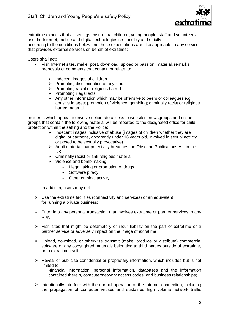

extratime expects that all settings ensure that children, young people, staff and volunteers use the Internet, mobile and digital technologies responsibly and strictly according to the conditions below and these expectations are also applicable to any service that provides external services on behalf of extratime:

Users shall not:

- Visit Internet sites, make, post, download, upload or pass on, material, remarks, proposals or comments that contain or relate to:
	- $\triangleright$  Indecent images of children
	- $\triangleright$  Promoting discrimination of any kind
	- $\triangleright$  Promoting racial or religious hatred
	- $\triangleright$  Promoting illegal acts
	- $\triangleright$  Any other information which may be offensive to peers or colleagues e.g. abusive images; promotion of violence; gambling; criminally racist or religious hatred material.

Incidents which appear to involve deliberate access to websites, newsgroups and online groups that contain the following material will be reported to the designated office for child protection within the setting and the Police:

- $\triangleright$  Indecent images inclusive of abuse (images of children whether they are digital or cartoons, apparently under 16 years old, involved in sexual activity or posed to be sexually provocative)
- $\triangleright$  Adult material that potentially breaches the Obscene Publications Act in the UK
- $\triangleright$  Criminally racist or anti-religious material
- $\triangleright$  Violence and bomb making
	- Illegal taking or promotion of drugs
	- Software piracy
	- Other criminal activity

In addition, users may not:

- $\triangleright$  Use the extratime facilities (connectivity and services) or an equivalent for running a private business;
- $\triangleright$  Enter into any personal transaction that involves extratime or partner services in any way;
- $\triangleright$  Visit sites that might be defamatory or incur liability on the part of extratime or a partner service or adversely impact on the image of extratime
- Upload, download, or otherwise transmit (make, produce or distribute) commercial software or any copyrighted materials belonging to third parties outside of extratime, or to extratime itself;
- $\triangleright$  Reveal or publicise confidential or proprietary information, which includes but is not limited to: -financial information, personal information, databases and the information
	- contained therein, computer/network access codes, and business relationships;
- $\triangleright$  Intentionally interfere with the normal operation of the Internet connection, including the propagation of computer viruses and sustained high volume network traffic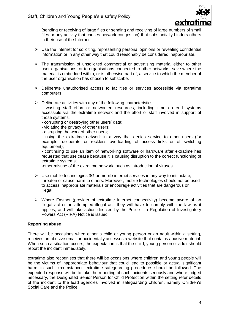

(sending or receiving of large files or sending and receiving of large numbers of small files or any activity that causes network congestion) that substantially hinders others in their use of the Internet;

- $\triangleright$  Use the Internet for soliciting, representing personal opinions or revealing confidential information or in any other way that could reasonably be considered inappropriate.
- $\triangleright$  The transmission of unsolicited commercial or advertising material either to other user organisations, or to organisations connected to other networks, save where the material is embedded within, or is otherwise part of, a service to which the member of the user organisation has chosen to subscribe.
- $\triangleright$  Deliberate unauthorised access to facilities or services accessible via extratime computers
- $\triangleright$  Deliberate activities with any of the following characteristics:

- wasting staff effort or networked resources, including time on end systems accessible via the extratime network and the effort of staff involved in support of those systems;

- corrupting or destroying other users' data;
- violating the privacy of other users;
- disrupting the work of other users;

- using the extratime network in a way that denies service to other users (for example, deliberate or reckless overloading of access links or of switching equipment);

- continuing to use an item of networking software or hardware after extratime has requested that use cease because it is causing disruption to the correct functioning of extratime systems;

-other misuse of the extratime network, such as introduction of viruses.

- $\triangleright$  Use mobile technologies 3G or mobile internet services in any way to intimidate, threaten or cause harm to others. Moreover, mobile technologies should not be used to access inappropriate materials or encourage activities that are dangerous or illegal.
- $\triangleright$  Where Fastnet (provider of extratime internet connectivity) become aware of an illegal act or an attempted illegal act, they will have to comply with the law as it applies, and will take action directed by the Police if a Regulation of Investigatory Powers Act (RIPA) Notice is issued.

### **Reporting abuse**

There will be occasions when either a child or young person or an adult within a setting, receives an abusive email or accidentally accesses a website that contains abusive material. When such a situation occurs, the expectation is that the child, young person or adult should report the incident immediately.

extratime also recognises that there will be occasions where children and young people will be the victims of inappropriate behaviour that could lead to possible or actual significant harm, in such circumstances extratime safeguarding procedures should be followed. The expected response will be to take the reporting of such incidents seriously and where judged necessary, the Designated Senior Person for Child Protection within the setting refer details of the incident to the lead agencies involved in safeguarding children, namely Children's Social Care and the Police.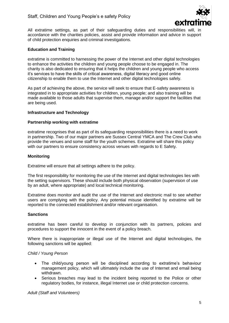

All extratime settings, as part of their safeguarding duties and responsibilities will, in accordance with the charities policies, assist and provide information and advice in support of child protection enquiries and criminal investigations.

### **Education and Training**

extratime is committed to harnessing the power of the Internet and other digital technologies to enhance the activities the children and young people choose to be engaged in. The charity is also dedicated to ensuring that it helps the children and young people who access it's services to have the skills of critical awareness, digital literacy and good online citizenship to enable them to use the Internet and other digital technologies safely.

As part of achieving the above, the service will seek to ensure that E-safety awareness is integrated in to appropriate activities for children, young people; and also training will be made available to those adults that supervise them, manage and/or support the facilities that are being used.

### **Infrastructure and Technology**

#### **Partnership working with extratime**

extratime recognises that as part of its safeguarding responsibilities there is a need to work in partnership. Two of our major partners are Sussex Central YMCA and The Crew Club who provide the venues and some staff for the youth schemes. Extratime will share this policy with our partners to ensure consistency across venues with regards to E Safety.

### **Monitoring**

Extratime will ensure that all settings adhere to the policy.

The first responsibility for monitoring the use of the Internet and digital technologies lies with the setting supervisors. These should include both physical observation (supervision of use by an adult, where appropriate) and local technical monitoring.

Extratime does monitor and audit the use of the Internet and electronic mail to see whether users are complying with the policy. Any potential misuse identified by extratime will be reported to the connected establishment and/or relevant organisation.

### **Sanctions**

extratime has been careful to develop in conjunction with its partners, policies and procedures to support the innocent in the event of a policy breach.

Where there is inappropriate or illegal use of the Internet and digital technologies, the following sanctions will be applied:

#### *Child / Young Person*

- The child/young person will be disciplined according to extratime's behaviour management policy, which will ultimately include the use of Internet and email being withdrawn.
- Serious breaches may lead to the incident being reported to the Police or other regulatory bodies, for instance, illegal Internet use or child protection concerns.

*Adult (Staff and Volunteers)*